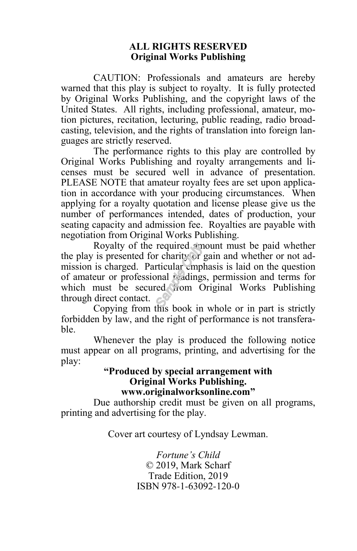#### **ALL RIGHTS RESERVED Original Works Publishing**

CAUTION: Professionals and amateurs are hereby warned that this play is subject to royalty. It is fully protected by Original Works Publishing, and the copyright laws of the United States. All rights, including professional, amateur, motion pictures, recitation, lecturing, public reading, radio broadcasting, television, and the rights of translation into foreign languages are strictly reserved.

The performance rights to this play are controlled by Original Works Publishing and royalty arrangements and licenses must be secured well in advance of presentation. PLEASE NOTE that amateur royalty fees are set upon application in accordance with your producing circumstances. When applying for a royalty quotation and license please give us the number of performances intended, dates of production, your seating capacity and admission fee. Royalties are payable with negotiation from Original Works Publishing.

Royalty of the required amount must be paid whether the play is presented for charity or gain and whether or not admission is charged. Particular emphasis is laid on the question of amateur or professional readings, permission and terms for which must be secured from Original Works Publishing through direct contact.

Copying from this book in whole or in part is strictly forbidden by law, and the right of performance is not transferable.

Whenever the play is produced the following notice must appear on all programs, printing, and advertising for the play:

#### **"Produced by special arrangement with Original Works Publishing. www.originalworksonline.com"**

Due authorship credit must be given on all programs, printing and advertising for the play.  $\overline{ }$ 

Cover art courtesy of Lyndsay Lewman.

*Fortune's Child* © 2019, Mark Scharf Trade Edition, 2019 ISBN 978-1-63092-120-0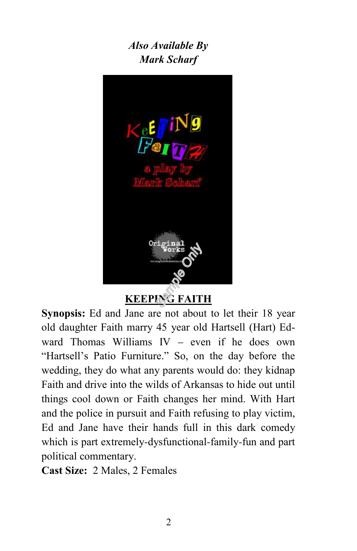# *Also Available By Mark Scharf*



**KEEPING FAITH**

**Synopsis:** Ed and Jane are not about to let their 18 year old daughter Faith marry 45 year old Hartsell (Hart) Edward Thomas Williams IV – even if he does own "Hartsell's Patio Furniture." So, on the day before the wedding, they do what any parents would do: they kidnap Faith and drive into the wilds of Arkansas to hide out until things cool down or Faith changes her mind. With Hart and the police in pursuit and Faith refusing to play victim, Ed and Jane have their hands full in this dark comedy which is part extremely-dysfunctional-family-fun and part political commentary.

**Cast Size:** 2 Males, 2 Females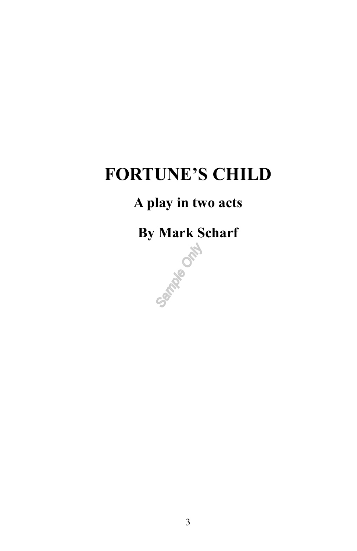# **FORTUNE'S CHILD**

# **A play in two acts**

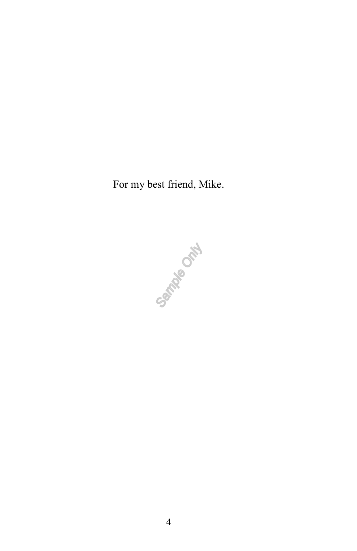For my best friend, Mike.

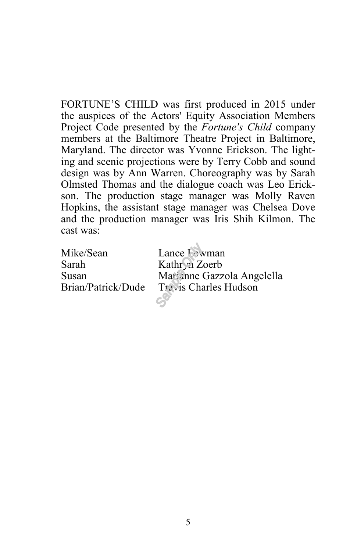FORTUNE'S CHILD was first produced in 2015 under the auspices of the Actors' Equity Association Members Project Code presented by the *Fortune's Child* company members at the Baltimore Theatre Project in Baltimore, Maryland. The director was Yvonne Erickson. The lighting and scenic projections were by Terry Cobb and sound design was by Ann Warren. Choreography was by Sarah Olmsted Thomas and the dialogue coach was Leo Erickson. The production stage manager was Molly Raven Hopkins, the assistant stage manager was Chelsea Dove and the production manager was Iris Shih Kilmon. The cast was:

Mike/Sean Lance Lewman Sarah Kathryn Zoerb

Susan Marianne Gazzola Angelella Brian/Patrick/Dude Travis Charles Hudson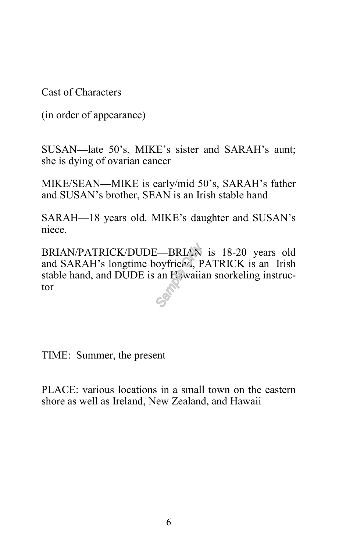Cast of Characters

(in order of appearance)

SUSAN—late 50's, MIKE's sister and SARAH's aunt; she is dying of ovarian cancer

MIKE/SEAN—MIKE is early/mid 50's, SARAH's father and SUSAN's brother, SEAN is an Irish stable hand

SARAH—18 years old. MIKE's daughter and SUSAN's niece.

BRIAN/PATRICK/DUDE—BRIAN is 18-20 years old and SARAH's longtime boyfriend, PATRICK is an Irish stable hand, and DUDE is an Hawaiian snorkeling instructor

TIME: Summer, the present

PLACE: various locations in a small town on the eastern shore as well as Ireland, New Zealand, and Hawaii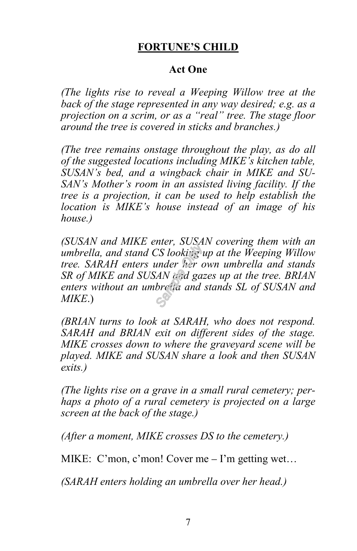# **FORTUNE'S CHILD**

# **Act One**

*(The lights rise to reveal a Weeping Willow tree at the back of the stage represented in any way desired; e.g. as a projection on a scrim, or as a "real" tree. The stage floor around the tree is covered in sticks and branches.)*

*(The tree remains onstage throughout the play, as do all of the suggested locations including MIKE's kitchen table, SUSAN's bed, and a wingback chair in MIKE and SU-SAN's Mother's room in an assisted living facility. If the tree is a projection, it can be used to help establish the location is MIKE's house instead of an image of his house.)*

*(SUSAN and MIKE enter, SUSAN covering them with an umbrella, and stand CS looking up at the Weeping Willow tree. SARAH enters under her own umbrella and stands SR of MIKE and SUSAN and gazes up at the tree. BRIAN enters without an umbrella and stands SL of SUSAN and MIKE*.)

*(BRIAN turns to look at SARAH, who does not respond. SARAH and BRIAN exit on different sides of the stage. MIKE crosses down to where the graveyard scene will be played. MIKE and SUSAN share a look and then SUSAN exits.)*

*(The lights rise on a grave in a small rural cemetery; perhaps a photo of a rural cemetery is projected on a large screen at the back of the stage.)*

*(After a moment, MIKE crosses DS to the cemetery.)*

MIKE: C'mon, c'mon! Cover me – I'm getting wet…

*(SARAH enters holding an umbrella over her head.)*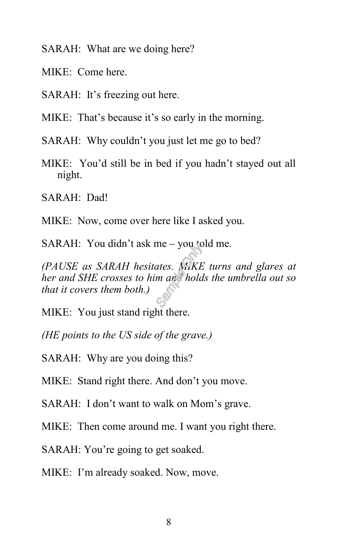SARAH: What are we doing here?

MIKE: Come here.

SARAH: It's freezing out here.

MIKE: That's because it's so early in the morning.

SARAH: Why couldn't you just let me go to bed?

MIKE: You'd still be in bed if you hadn't stayed out all night.

SARAH: Dad!

MIKE: Now, come over here like I asked you.

SARAH: You didn't ask me – you told me.

*(PAUSE as SARAH hesitates. MIKE turns and glares at her and SHE crosses to him and holds the umbrella out so that it covers them both.)* 

MIKE: You just stand right there.

*(HE points to the US side of the grave.)*

SARAH: Why are you doing this?

MIKE: Stand right there. And don't you move.

SARAH: I don't want to walk on Mom's grave.

MIKE: Then come around me. I want you right there.

SARAH: You're going to get soaked.

MIKE: I'm already soaked. Now, move.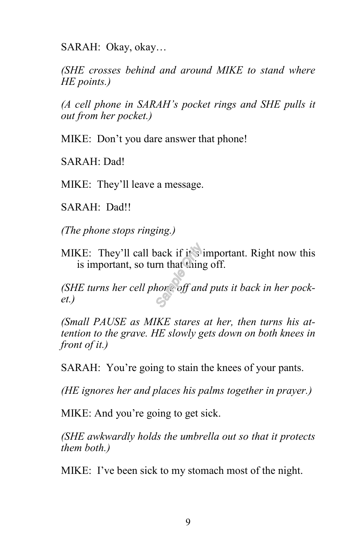SARAH: Okay, okay…

*(SHE crosses behind and around MIKE to stand where HE points.)*

*(A cell phone in SARAH's pocket rings and SHE pulls it out from her pocket.)*

MIKE: Don't you dare answer that phone!

SARAH: Dad!

MIKE: They'll leave a message.

SARAH: Dad!!

*(The phone stops ringing.)*

MIKE: They'll call back if it's important. Right now this is important, so turn that thing off.

*(SHE turns her cell phone off and puts it back in her pocket.)*

*(Small PAUSE as MIKE stares at her, then turns his attention to the grave. HE slowly gets down on both knees in front of it.)*

SARAH: You're going to stain the knees of your pants.

*(HE ignores her and places his palms together in prayer.)*

MIKE: And you're going to get sick.

*(SHE awkwardly holds the umbrella out so that it protects them both.)*

MIKE: I've been sick to my stomach most of the night.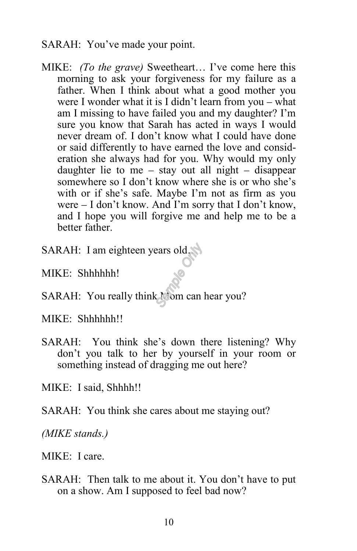## SARAH: You've made your point.

- MIKE: *(To the grave)* Sweetheart… I've come here this morning to ask your forgiveness for my failure as a father. When I think about what a good mother you were I wonder what it is I didn't learn from you – what am I missing to have failed you and my daughter? I'm sure you know that Sarah has acted in ways I would never dream of. I don't know what I could have done or said differently to have earned the love and consideration she always had for you. Why would my only daughter lie to me – stay out all night – disappear somewhere so I don't know where she is or who she's with or if she's safe. Maybe I'm not as firm as you were – I don't know. And I'm sorry that I don't know, and I hope you will forgive me and help me to be a better father.
- SARAH: I am eighteen years old…
- MIKE: Shhhhhh!
- SARAH: You really think Mom can hear you?

MIKE: Shhhhhh!!

SARAH: You think she's down there listening? Why don't you talk to her by yourself in your room or something instead of dragging me out here?

MIKE: I said, Shhhh!!

SARAH: You think she cares about me staying out?

*(MIKE stands.)*

MIKE: I care.

SARAH: Then talk to me about it. You don't have to put on a show. Am I supposed to feel bad now?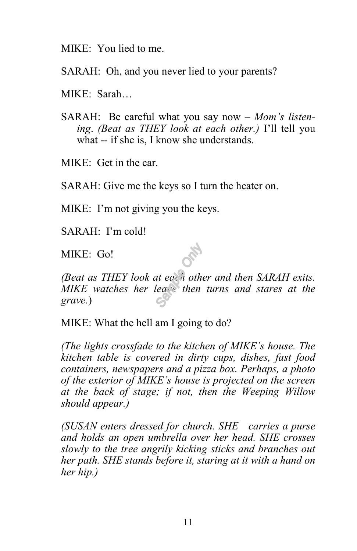MIKE: You lied to me.

SARAH: Oh, and you never lied to your parents?

MIKE: Sarah…

SARAH: Be careful what you say now – *Mom's listening*. *(Beat as THEY look at each other.)* I'll tell you what -- if she is, I know she understands.

MIKE: Get in the car.

SARAH: Give me the keys so I turn the heater on.

MIKE: I'm not giving you the keys.

SARAH: I'm cold!

MIKE: Go!

*(Beat as THEY look at each other and then SARAH exits. MIKE watches her leave then turns and stares at the grave.*)

MIKE: What the hell am I going to do?

*(The lights crossfade to the kitchen of MIKE's house. The kitchen table is covered in dirty cups, dishes, fast food containers, newspapers and a pizza box. Perhaps, a photo of the exterior of MIKE's house is projected on the screen at the back of stage; if not, then the Weeping Willow should appear.)*

*(SUSAN enters dressed for church. SHE carries a purse and holds an open umbrella over her head. SHE crosses slowly to the tree angrily kicking sticks and branches out her path. SHE stands before it, staring at it with a hand on her hip.)*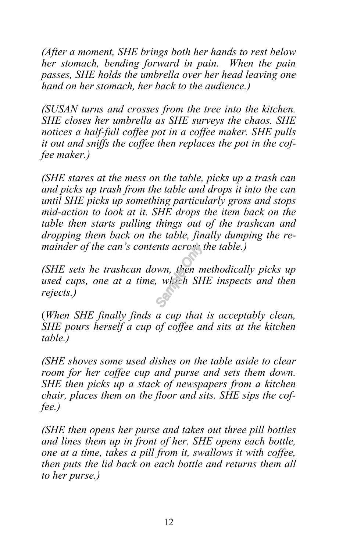*(After a moment, SHE brings both her hands to rest below her stomach, bending forward in pain. When the pain passes, SHE holds the umbrella over her head leaving one hand on her stomach, her back to the audience.)*

*(SUSAN turns and crosses from the tree into the kitchen. SHE closes her umbrella as SHE surveys the chaos. SHE notices a half-full coffee pot in a coffee maker. SHE pulls it out and sniffs the coffee then replaces the pot in the coffee maker.)* 

*(SHE stares at the mess on the table, picks up a trash can and picks up trash from the table and drops it into the can until SHE picks up something particularly gross and stops mid-action to look at it. SHE drops the item back on the table then starts pulling things out of the trashcan and dropping them back on the table, finally dumping the remainder of the can's contents across the table.)*

*(SHE sets he trashcan down, then methodically picks up used cups, one at a time, which SHE inspects and then rejects.)*

(*When SHE finally finds a cup that is acceptably clean, SHE pours herself a cup of coffee and sits at the kitchen table.)*

*(SHE shoves some used dishes on the table aside to clear room for her coffee cup and purse and sets them down. SHE then picks up a stack of newspapers from a kitchen chair, places them on the floor and sits. SHE sips the coffee.)*

*(SHE then opens her purse and takes out three pill bottles and lines them up in front of her. SHE opens each bottle, one at a time, takes a pill from it, swallows it with coffee, then puts the lid back on each bottle and returns them all to her purse.)*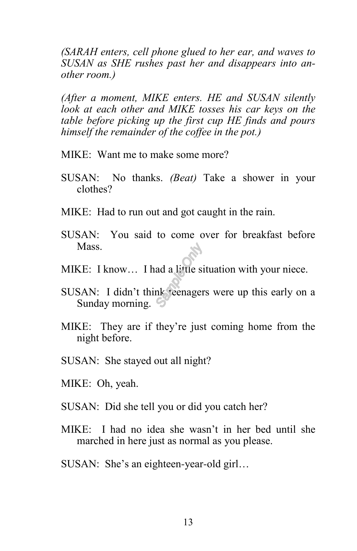*(SARAH enters, cell phone glued to her ear, and waves to SUSAN as SHE rushes past her and disappears into another room.)*

*(After a moment, MIKE enters. HE and SUSAN silently look at each other and MIKE tosses his car keys on the table before picking up the first cup HE finds and pours himself the remainder of the coffee in the pot.)*

- MIKE: Want me to make some more?
- SUSAN: No thanks. *(Beat)* Take a shower in your clothes?
- MIKE: Had to run out and got caught in the rain.
- SUSAN: You said to come over for breakfast before Mass.
- MIKE: I know... I had a little situation with your niece.
- SUSAN: I didn't think teenagers were up this early on a Sunday morning.
- MIKE: They are if they're just coming home from the night before.
- SUSAN: She stayed out all night?
- MIKE: Oh, yeah.
- SUSAN: Did she tell you or did you catch her?
- MIKE: I had no idea she wasn't in her bed until she marched in here just as normal as you please.
- SUSAN: She's an eighteen-year-old girl…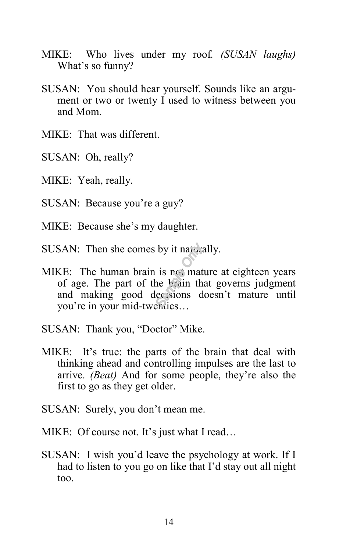- MIKE: Who lives under my roof*. (SUSAN laughs)* What's so funny?
- SUSAN: You should hear yourself. Sounds like an argument or two or twenty I used to witness between you and Mom.
- MIKE: That was different.
- SUSAN: Oh, really?
- MIKE: Yeah, really.
- SUSAN: Because you're a guy?
- MIKE: Because she's my daughter.
- SUSAN: Then she comes by it naturally.
- MIKE: The human brain is not mature at eighteen years of age. The part of the brain that governs judgment and making good decisions doesn't mature until you're in your mid-twenties…
- SUSAN: Thank you, "Doctor" Mike.
- MIKE: It's true: the parts of the brain that deal with thinking ahead and controlling impulses are the last to arrive. *(Beat)* And for some people, they're also the first to go as they get older.
- SUSAN: Surely, you don't mean me.
- MIKE: Of course not. It's just what I read...
- SUSAN: I wish you'd leave the psychology at work. If I had to listen to you go on like that I'd stay out all night too.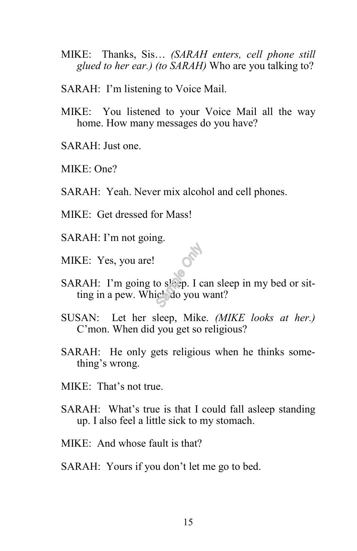- MIKE: Thanks, Sis… *(SARAH enters, cell phone still glued to her ear.) (to SARAH)* Who are you talking to?
- SARAH: I'm listening to Voice Mail.
- MIKE: You listened to your Voice Mail all the way home. How many messages do you have?
- SARAH: Just one.
- MIKE: One?
- SARAH: Yeah. Never mix alcohol and cell phones.
- MIKE: Get dressed for Mass!
- SARAH: I'm not going.
- MIKE: Yes, you are!
- SARAH: I'm going to sleep. I can sleep in my bed or sitting in a pew. Which do you want?
- SUSAN: Let her sleep, Mike. *(MIKE looks at her.)* C'mon. When did you get so religious?
- SARAH: He only gets religious when he thinks something's wrong.
- MIKE: That's not true.
- SARAH: What's true is that I could fall asleep standing up. I also feel a little sick to my stomach.
- MIKE: And whose fault is that?
- SARAH: Yours if you don't let me go to bed.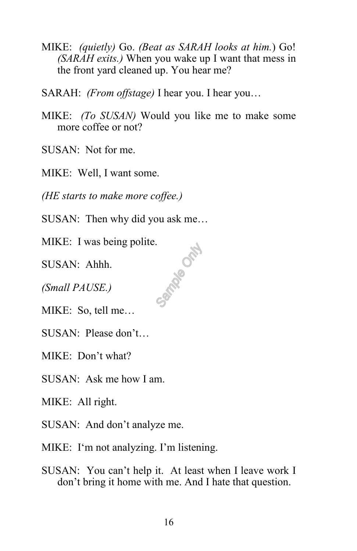- MIKE: *(quietly)* Go. *(Beat as SARAH looks at him.*) Go! *(SARAH exits.)* When you wake up I want that mess in the front yard cleaned up. You hear me?
- SARAH: *(From offstage)* I hear you. I hear you…
- MIKE: *(To SUSAN)* Would you like me to make some more coffee or not?

SUSAN: Not for me.

MIKE: Well, I want some.

*(HE starts to make more coffee.)*

SUSAN: Then why did you ask me…

MIKE: I was being polite.<br>SUSAN: Ahhh.<br>(*Small PAUSE.*)<br>MIK<sup>T</sup>

SUSAN: Ahhh.

*(Small PAUSE.)*

MIKE: So, tell me…

SUSAN: Please don't…

MIKE: Don't what?

SUSAN: Ask me how I am.

MIKE: All right.

SUSAN: And don't analyze me.

MIKE: I'm not analyzing. I'm listening.

SUSAN: You can't help it. At least when I leave work I don't bring it home with me. And I hate that question.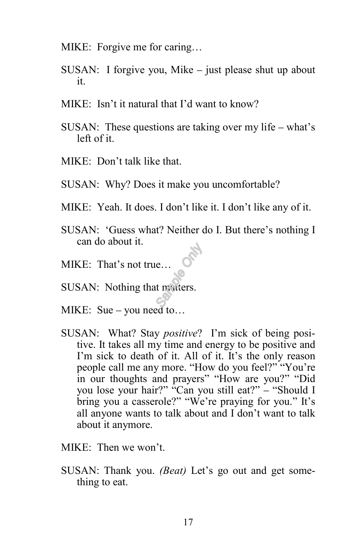- MIKE: Forgive me for caring…
- SUSAN: I forgive you, Mike just please shut up about it.
- MIKE: Isn't it natural that I'd want to know?
- SUSAN: These questions are taking over my life what's left of it.
- MIKE: Don't talk like that.
- SUSAN: Why? Does it make you uncomfortable?
- MIKE: Yeah. It does. I don't like it. I don't like any of it.
- SUSAN: 'Guess what? Neither do I. But there's nothing I can do about it.
- MIKE: That's not true…
- SUSAN: Nothing that matters.
- MIKE: Sue you need to…
- SUSAN: What? Stay *positive*? I'm sick of being positive. It takes all my time and energy to be positive and I'm sick to death of it. All of it. It's the only reason people call me any more. "How do you feel?" "You're in our thoughts and prayers" "How are you?" "Did you lose your hair?" "Can you still eat?" – "Should I bring you a casserole?" "We're praying for you." It's all anyone wants to talk about and I don't want to talk about it anymore.
- MIKE: Then we won't.
- SUSAN: Thank you. *(Beat)* Let's go out and get something to eat.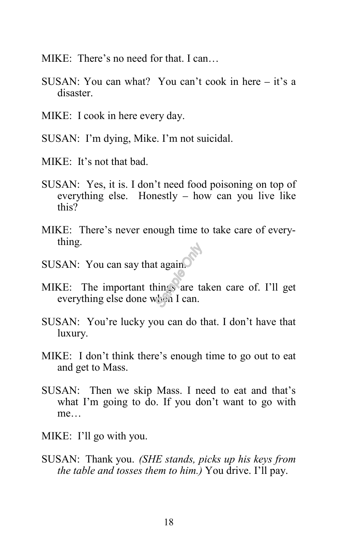- MIKE: There's no need for that. I can…
- SUSAN: You can what? You can't cook in here it's a disaster.
- MIKE: I cook in here every day.
- SUSAN: I'm dying, Mike. I'm not suicidal.
- MIKE: It's not that bad.
- SUSAN: Yes, it is. I don't need food poisoning on top of everything else. Honestly – how can you live like this?
- MIKE: There's never enough time to take care of everything.
- SUSAN: You can say that again.
- MIKE: The important things are taken care of. I'll get everything else done when I can.
- SUSAN: You're lucky you can do that. I don't have that luxury.
- MIKE: I don't think there's enough time to go out to eat and get to Mass.
- SUSAN: Then we skip Mass. I need to eat and that's what I'm going to do. If you don't want to go with me…
- MIKE: I'll go with you.
- SUSAN: Thank you. *(SHE stands, picks up his keys from the table and tosses them to him.)* You drive. I'll pay.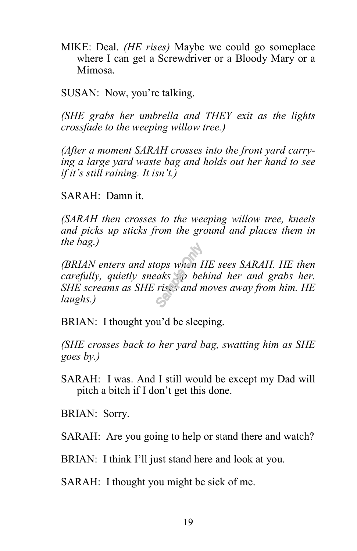MIKE: Deal. *(HE rises)* Maybe we could go someplace where I can get a Screwdriver or a Bloody Mary or a Mimosa.

SUSAN: Now, you're talking.

*(SHE grabs her umbrella and THEY exit as the lights crossfade to the weeping willow tree.)*

*(After a moment SARAH crosses into the front yard carrying a large yard waste bag and holds out her hand to see if it's still raining. It isn't.)*

SARAH: Damn it.

*(SARAH then crosses to the weeping willow tree, kneels and picks up sticks from the ground and places them in the bag.)*

*(BRIAN enters and stops when HE sees SARAH. HE then carefully, quietly sneaks up behind her and grabs her. SHE screams as SHE rises and moves away from him. HE laughs.)*

BRIAN: I thought you'd be sleeping.

*(SHE crosses back to her yard bag, swatting him as SHE goes by.)*

SARAH: I was. And I still would be except my Dad will pitch a bitch if I don't get this done.

BRIAN: Sorry.

SARAH: Are you going to help or stand there and watch?

BRIAN: I think I'll just stand here and look at you.

SARAH: I thought you might be sick of me.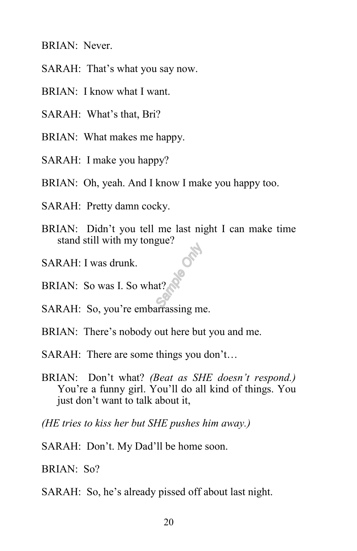BRIAN: Never.

- SARAH: That's what you say now.
- BRIAN: I know what I want.
- SARAH: What's that, Bri?
- BRIAN: What makes me happy.
- SARAH: I make you happy?
- BRIAN: Oh, yeah. And I know I make you happy too.
- SARAH: Pretty damn cocky.
- BRIAN: Didn't you tell me last night I can make time stand still with my tongue?
- SARAH: I was drunk.
- BRIAN: So was I. So what?
- SARAH: So, you're embarrassing me.
- BRIAN: There's nobody out here but you and me.
- SARAH: There are some things you don't…
- BRIAN: Don't what? *(Beat as SHE doesn't respond.)* You're a funny girl. You'll do all kind of things. You just don't want to talk about it,
- *(HE tries to kiss her but SHE pushes him away.)*
- SARAH: Don't. My Dad'll be home soon.
- BRIAN: So?
- SARAH: So, he's already pissed off about last night.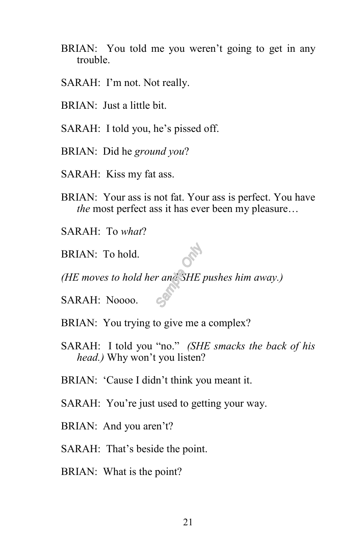- BRIAN: You told me you weren't going to get in any trouble.
- SARAH: I'm not. Not really.
- BRIAN: Just a little bit.
- SARAH: I told you, he's pissed off.
- BRIAN: Did he *ground you*?
- SARAH: Kiss my fat ass.
- BRIAN: Your ass is not fat. Your ass is perfect. You have *the* most perfect ass it has ever been my pleasure…
- SARAH: To *what*?
- BRIAN: To hold.
- *(HE moves to hold her and SHE pushes him away.)*
- SARAH: Noooo.
- BRIAN: You trying to give me a complex?
- SARAH: I told you "no." *(SHE smacks the back of his head.)* Why won't you listen?
- BRIAN: 'Cause I didn't think you meant it.
- SARAH: You're just used to getting your way.
- BRIAN: And you aren't?
- SARAH: That's beside the point.
- BRIAN: What is the point?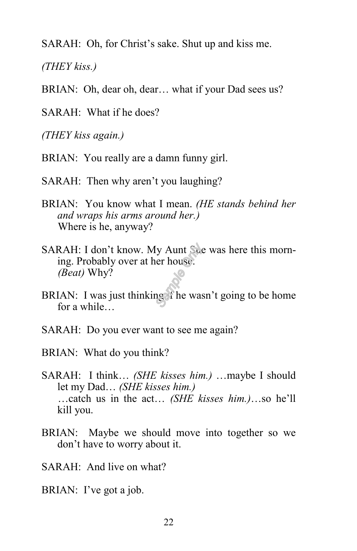SARAH: Oh, for Christ's sake. Shut up and kiss me.

*(THEY kiss.)*

BRIAN: Oh, dear oh, dear... what if your Dad sees us?

SARAH: What if he does?

*(THEY kiss again.)*

- BRIAN: You really are a damn funny girl.
- SARAH: Then why aren't you laughing?
- BRIAN: You know what I mean. *(HE stands behind her and wraps his arms around her.)* Where is he, anyway?
- SARAH: I don't know. My Aunt Sue was here this morning. Probably over at her house. *(Beat)* Why?
- BRIAN: I was just thinking if he wasn't going to be home for a while…
- SARAH: Do you ever want to see me again?
- BRIAN: What do you think?
- SARAH: I think… *(SHE kisses him.)* …maybe I should let my Dad… *(SHE kisses him.)* …catch us in the act… *(SHE kisses him.)*…so he'll kill you.
- BRIAN: Maybe we should move into together so we don't have to worry about it.

SARAH: And live on what?

BRIAN: I've got a job.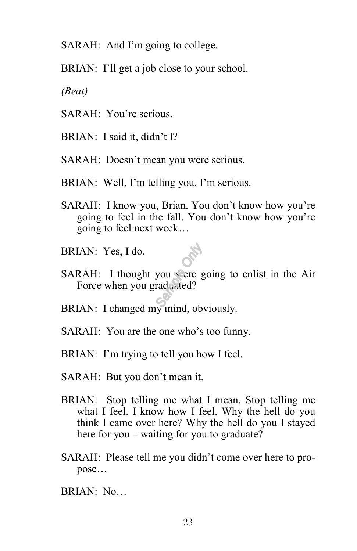SARAH: And I'm going to college.

BRIAN: I'll get a job close to your school.

*(Beat)*

- SARAH: You're serious.
- BRIAN: I said it, didn't I?
- SARAH: Doesn't mean you were serious.
- BRIAN: Well, I'm telling you. I'm serious.
- SARAH: I know you, Brian. You don't know how you're going to feel in the fall. You don't know how you're going to feel next week…
- BRIAN: Yes, I do.
- SARAH: I thought you were going to enlist in the Air Force when you graduated?
- BRIAN: I changed my mind, obviously.
- SARAH: You are the one who's too funny.
- BRIAN: I'm trying to tell you how I feel.
- SARAH: But you don't mean it.
- BRIAN: Stop telling me what I mean. Stop telling me what I feel. I know how I feel. Why the hell do you think I came over here? Why the hell do you I stayed here for you – waiting for you to graduate?
- SARAH: Please tell me you didn't come over here to propose…
- BRIAN: No…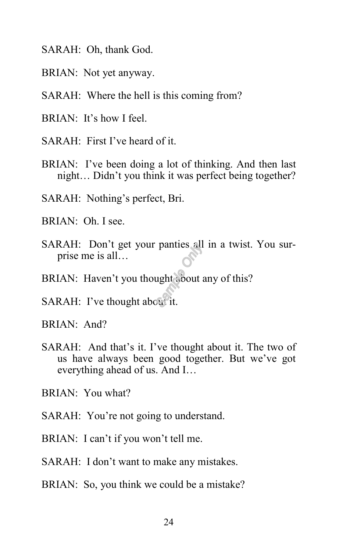- SARAH: Oh, thank God.
- BRIAN: Not yet anyway.
- SARAH: Where the hell is this coming from?
- BRIAN: It's how I feel.
- SARAH: First I've heard of it.
- BRIAN: I've been doing a lot of thinking. And then last night… Didn't you think it was perfect being together?
- SARAH: Nothing's perfect, Bri.
- BRIAN: Oh. I see.
- SARAH: Don't get your panties all in a twist. You surprise me is all…
- BRIAN: Haven't you thought about any of this?
- SARAH: I've thought about it.
- BRIAN: And?
- SARAH: And that's it. I've thought about it. The two of us have always been good together. But we've got everything ahead of us. And I…
- BRIAN: You what?
- SARAH: You're not going to understand.
- BRIAN: I can't if you won't tell me.
- SARAH: I don't want to make any mistakes.
- BRIAN: So, you think we could be a mistake?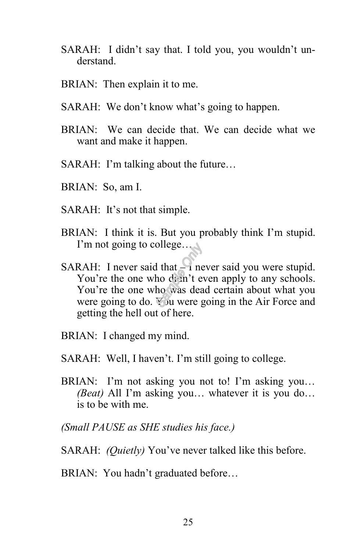- SARAH: I didn't say that. I told you, you wouldn't understand.
- BRIAN: Then explain it to me.
- SARAH: We don't know what's going to happen.
- BRIAN: We can decide that. We can decide what we want and make it happen.
- SARAH: I'm talking about the future…
- BRIAN: So, am I.
- SARAH: It's not that simple.
- BRIAN: I think it is. But you probably think I'm stupid. I'm not going to college…
- SARAH: I never said that I never said you were stupid. You're the one who didn't even apply to any schools. You're the one who was dead certain about what you were going to do. You were going in the Air Force and getting the hell out of here.
- BRIAN: I changed my mind.
- SARAH: Well, I haven't. I'm still going to college.
- BRIAN: I'm not asking you not to! I'm asking you… *(Beat)* All I'm asking you… whatever it is you do… is to be with me.
- *(Small PAUSE as SHE studies his face.)*
- SARAH: *(Quietly)* You've never talked like this before.
- BRIAN: You hadn't graduated before…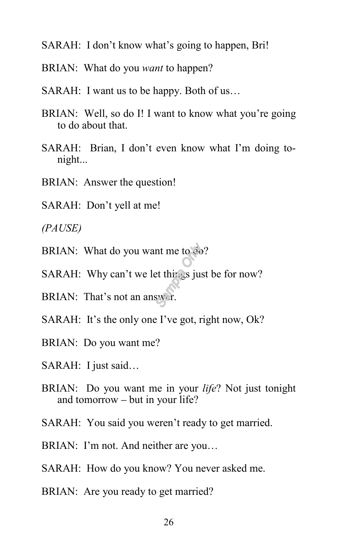- SARAH: I don't know what's going to happen, Bri!
- BRIAN: What do you *want* to happen?
- SARAH: I want us to be happy. Both of us…
- BRIAN: Well, so do I! I want to know what you're going to do about that.
- SARAH: Brian, I don't even know what I'm doing tonight...
- BRIAN: Answer the question!
- SARAH: Don't yell at me!

*(PAUSE)*

- BRIAN: What do you want me to do?
- SARAH: Why can't we let things just be for now?
- BRIAN: That's not an answer.
- SARAH: It's the only one I've got, right now, Ok?
- BRIAN: Do you want me?
- SARAH: I just said…
- BRIAN: Do you want me in your *life*? Not just tonight and tomorrow – but in your life?
- SARAH: You said you weren't ready to get married.
- BRIAN: I'm not. And neither are you…
- SARAH: How do you know? You never asked me.
- BRIAN: Are you ready to get married?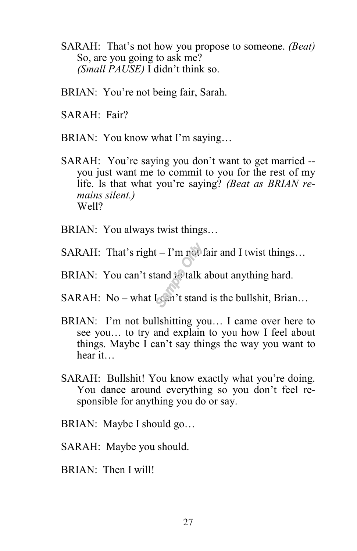- SARAH: That's not how you propose to someone. *(Beat)* So, are you going to ask me? *(Small PAUSE)* I didn't think so.
- BRIAN: You're not being fair, Sarah.
- SARAH: Fair?
- BRIAN: You know what I'm saying…
- SARAH: You're saying you don't want to get married you just want me to commit to you for the rest of my life. Is that what you're saying? *(Beat as BRIAN remains silent.)* Well?
- BRIAN: You always twist things…
- SARAH: That's right I'm  $r$  t fair and I twist things...
- BRIAN: You can't stand to talk about anything hard.
- SARAH: No what  $I \subset \mathbb{R}^n$ 't stand is the bullshit, Brian...
- BRIAN: I'm not bullshitting you… I came over here to see you… to try and explain to you how I feel about things. Maybe I can't say things the way you want to hear it…
- SARAH: Bullshit! You know exactly what you're doing. You dance around everything so you don't feel responsible for anything you do or say.
- BRIAN: Maybe I should go…
- SARAH: Maybe you should.
- BRIAN: Then I will!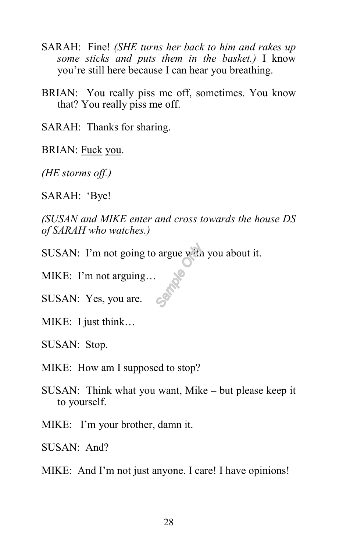- SARAH: Fine! *(SHE turns her back to him and rakes up some sticks and puts them in the basket.)* I know you're still here because I can hear you breathing.
- BRIAN: You really piss me off, sometimes. You know that? You really piss me off.

SARAH: Thanks for sharing.

BRIAN: Fuck you.

*(HE storms off.)*

SARAH: 'Bye!

*(SUSAN and MIKE enter and cross towards the house DS of SARAH who watches.)*

SUSAN: I'm not going to argue with you about it.

MIKE: I'm not arguing…

SUSAN: Yes, you are.

MIKE: I just think…

SUSAN: Stop.

MIKE: How am I supposed to stop?

SUSAN: Think what you want, Mike – but please keep it to yourself.

MIKE: I'm your brother, damn it.

SUSAN: And?

MIKE: And I'm not just anyone. I care! I have opinions!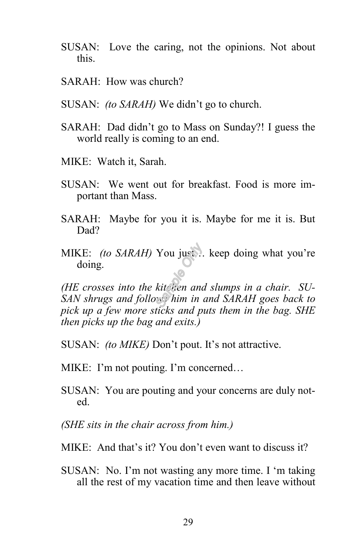- SUSAN: Love the caring, not the opinions. Not about this.
- SARAH: How was church?
- SUSAN: *(to SARAH)* We didn't go to church.
- SARAH: Dad didn't go to Mass on Sunday?! I guess the world really is coming to an end.
- MIKE: Watch it, Sarah.
- SUSAN: We went out for breakfast. Food is more important than Mass.
- SARAH: Maybe for you it is. Maybe for me it is. But Dad?
- MIKE: *(to SARAH)* You just… keep doing what you're doing.

*(HE crosses into the kitchen and slumps in a chair. SU-SAN shrugs and follows him in and SARAH goes back to pick up a few more sticks and puts them in the bag. SHE then picks up the bag and exits.)*

- SUSAN: *(to MIKE)* Don't pout. It's not attractive.
- MIKE: I'm not pouting. I'm concerned…
- SUSAN: You are pouting and your concerns are duly noted.
- *(SHE sits in the chair across from him.)*
- MIKE: And that's it? You don't even want to discuss it?
- SUSAN: No. I'm not wasting any more time. I 'm taking all the rest of my vacation time and then leave without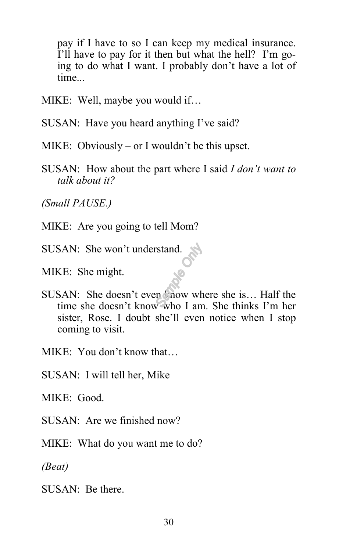pay if I have to so I can keep my medical insurance. I'll have to pay for it then but what the hell? I'm going to do what I want. I probably don't have a lot of time...

MIKE: Well, maybe you would if…

SUSAN: Have you heard anything I've said?

MIKE: Obviously – or I wouldn't be this upset.

SUSAN: How about the part where I said *I don't want to talk about it?*

*(Small PAUSE.)*

MIKE: Are you going to tell Mom?

SUSAN: She won't understand.

MIKE: She might.

SUSAN: She doesn't even now where she is... Half the time she doesn't know who I am. She thinks I'm her sister, Rose. I doubt she'll even notice when I stop coming to visit.

MIKE: You don't know that…

SUSAN: I will tell her, Mike

MIKE: Good.

 $SUSAN:$  Are we finished now?

MIKE: What do you want me to do?

*(Beat)*

SUSAN: Be there.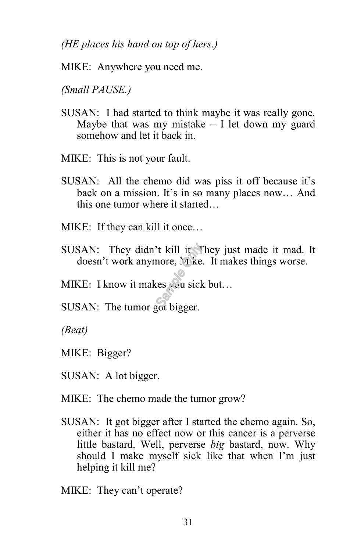*(HE places his hand on top of hers.)*

MIKE: Anywhere you need me.

*(Small PAUSE.)* ľ

- SUSAN: I had started to think maybe it was really gone. Maybe that was my mistake  $-$  I let down my guard somehow and let it back in.
- MIKE: This is not your fault.
- SUSAN: All the chemo did was piss it off because it's back on a mission. It's in so many places now… And this one tumor where it started…
- MIKE: If they can kill it once…
- SUSAN: They didn't kill it. They just made it mad. It doesn't work anymore, Mike. It makes things worse.
- MIKE: I know it makes you sick but...
- SUSAN: The tumor got bigger.

*(Beat)*

- MIKE: Bigger?
- SUSAN: A lot bigger.
- MIKE: The chemo made the tumor grow?
- SUSAN: It got bigger after I started the chemo again. So, either it has no effect now or this cancer is a perverse little bastard. Well, perverse *big* bastard, now. Why should I make myself sick like that when I'm just helping it kill me?

MIKE: They can't operate?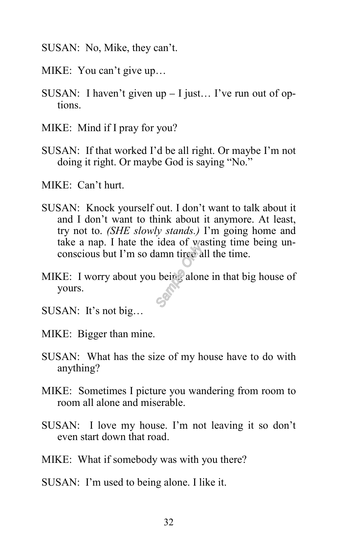- SUSAN: No, Mike, they can't.
- MIKE: You can't give up…
- SUSAN: I haven't given up I just… I've run out of options.
- MIKE: Mind if I pray for you?
- SUSAN: If that worked I'd be all right. Or maybe I'm not doing it right. Or maybe God is saying "No."
- MIKE: Can't hurt.
- SUSAN: Knock yourself out. I don't want to talk about it and I don't want to think about it anymore. At least, try not to. *(SHE slowly stands.)* I'm going home and take a nap. I hate the idea of wasting time being unconscious but I'm so damn tired all the time.
- MIKE: I worry about you being alone in that big house of yours.
- SUSAN: It's not big…
- MIKE: Bigger than mine.
- SUSAN: What has the size of my house have to do with anything?
- MIKE: Sometimes I picture you wandering from room to room all alone and miserable.
- SUSAN: I love my house. I'm not leaving it so don't even start down that road.
- MIKE: What if somebody was with you there?
- SUSAN: I'm used to being alone. I like it.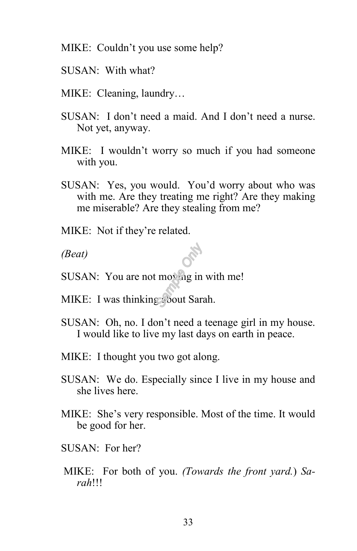MIKE: Couldn't you use some help?

- SUSAN: With what?
- MIKE: Cleaning, laundry…
- SUSAN: I don't need a maid. And I don't need a nurse. Not yet, anyway.
- MIKE: I wouldn't worry so much if you had someone with you.
- SUSAN: Yes, you would. You'd worry about who was with me. Are they treating me right? Are they making me miserable? Are they stealing from me?
- MIKE: Not if they're related.

*(Beat)*

- SUSAN: You are not moving in with me!
- MIKE: I was thinking about Sarah.
- SUSAN: Oh, no. I don't need a teenage girl in my house. I would like to live my last days on earth in peace.
- MIKE: I thought you two got along.
- SUSAN: We do. Especially since I live in my house and she lives here.
- MIKE: She's very responsible. Most of the time. It would be good for her.
- $SUSAN: For her?$
- MIKE: For both of you. *(Towards the front yard.*) *Sarah*!!!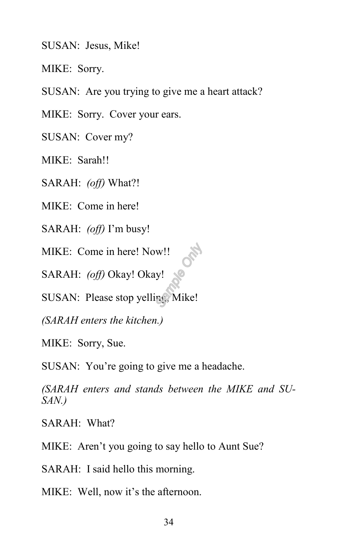SUSAN: Jesus, Mike!

MIKE: Sorry.

SUSAN: Are you trying to give me a heart attack?

MIKE: Sorry. Cover your ears.

SUSAN: Cover my?

MIKE: Sarah!!

SARAH: *(off)* What?!

MIKE: Come in here!

SARAH: *(off)* I'm busy!

MIKE: Come in here! Now!!

SARAH: *(off)* Okay! Okay!

SUSAN: Please stop yelling, Mike!

*(SARAH enters the kitchen.)*

MIKE: Sorry, Sue.

SUSAN: You're going to give me a headache.

*(SARAH enters and stands between the MIKE and SU-SAN.)*

SARAH: What?

MIKE: Aren't you going to say hello to Aunt Sue?

SARAH: I said hello this morning.

MIKE: Well, now it's the afternoon.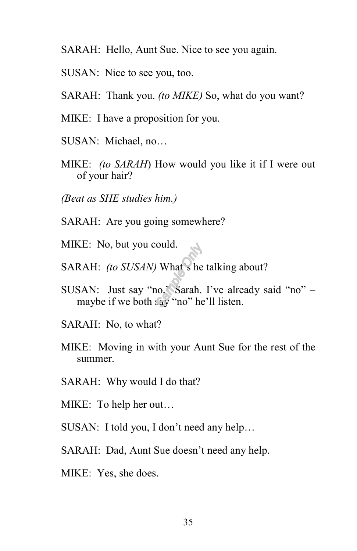- SARAH: Hello, Aunt Sue. Nice to see you again.
- SUSAN: Nice to see you, too.
- SARAH: Thank you. *(to MIKE)* So, what do you want?
- MIKE: I have a proposition for you.
- SUSAN: Michael, no…
- MIKE: *(to SARAH*) How would you like it if I were out of your hair?
- *(Beat as SHE studies him.)*
- SARAH: Are you going somewhere?
- MIKE: No, but you could.
- SARAH: *(to SUSAN)* What's he talking about?
- SUSAN: Just say "no," Sarah. I've already said "no" maybe if we both say "no" he'll listen.
- SARAH: No, to what?
- MIKE: Moving in with your Aunt Sue for the rest of the summer.
- SARAH: Why would I do that?
- MIKE: To help her out…
- SUSAN: I told you, I don't need any help…
- SARAH: Dad, Aunt Sue doesn't need any help.
- MIKE: Yes, she does.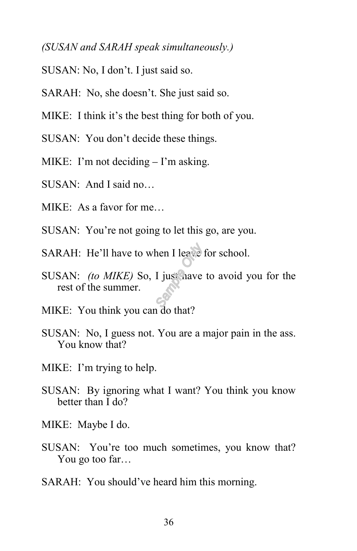### *(SUSAN and SARAH speak simultaneously.)*

- SUSAN: No, I don't. I just said so.
- SARAH: No, she doesn't. She just said so.
- MIKE: I think it's the best thing for both of you.
- SUSAN: You don't decide these things.
- MIKE: I'm not deciding I'm asking.
- SUSAN: And I said no…
- MIKE: As a favor for me…
- SUSAN: You're not going to let this go, are you.
- SARAH: He'll have to when I leave for school.
- SUSAN: *(to MIKE)* So, I just have to avoid you for the rest of the summer.
- MIKE: You think you can do that?
- SUSAN: No, I guess not. You are a major pain in the ass. You know that?
- MIKE: I'm trying to help.
- SUSAN: By ignoring what I want? You think you know better than I do?
- MIKE: Maybe I do.
- SUSAN: You're too much sometimes, you know that? You go too far…
- SARAH: You should've heard him this morning.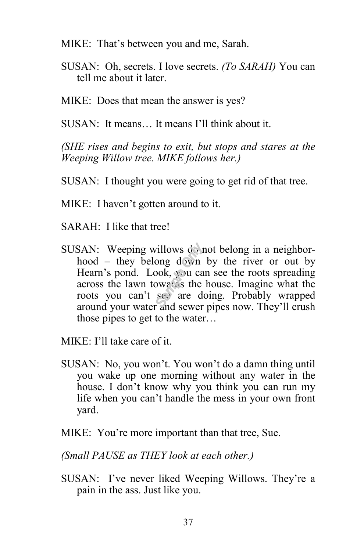- MIKE: That's between you and me, Sarah.
- SUSAN: Oh, secrets. I love secrets. *(To SARAH)* You can tell me about it later.
- MIKE: Does that mean the answer is yes?

SUSAN: It means… It means I'll think about it.

*(SHE rises and begins to exit, but stops and stares at the Weeping Willow tree. MIKE follows her.)*

- SUSAN: I thought you were going to get rid of that tree.
- MIKE: I haven't gotten around to it.
- SARAH: I like that tree!
- SUSAN: Weeping willows do not belong in a neighborhood – they belong down by the river or out by Hearn's pond. Look, you can see the roots spreading across the lawn towards the house. Imagine what the roots you can't see are doing. Probably wrapped around your water and sewer pipes now. They'll crush those pipes to get to the water…

MIKE: I'll take care of it.

- SUSAN: No, you won't. You won't do a damn thing until you wake up one morning without any water in the house. I don't know why you think you can run my life when you can't handle the mess in your own front yard.
- MIKE: You're more important than that tree, Sue.

*(Small PAUSE as THEY look at each other.)*

SUSAN: I've never liked Weeping Willows. They're a pain in the ass. Just like you.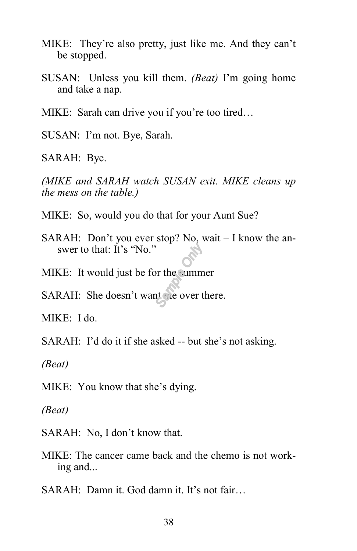- MIKE: They're also pretty, just like me. And they can't be stopped.
- SUSAN: Unless you kill them. *(Beat)* I'm going home and take a nap.
- MIKE: Sarah can drive you if you're too tired…
- SUSAN: I'm not. Bye, Sarah.
- SARAH: Bye.

*(MIKE and SARAH watch SUSAN exit. MIKE cleans up the mess on the table.)*

- MIKE: So, would you do that for your Aunt Sue?
- SARAH: Don't you ever stop? No, wait I know the answer to that: It's "No."
- MIKE: It would just be for the summer
- SARAH: She doesn't want me over there.

MIKE: I do.

- SARAH: I'd do it if she asked -- but she's not asking.
- *(Beat)*
- MIKE: You know that she's dying.
- *(Beat)*
- SARAH: No, I don't know that.
- MIKE: The cancer came back and the chemo is not working and...
- SARAH: Damn it. God damn it. It's not fair…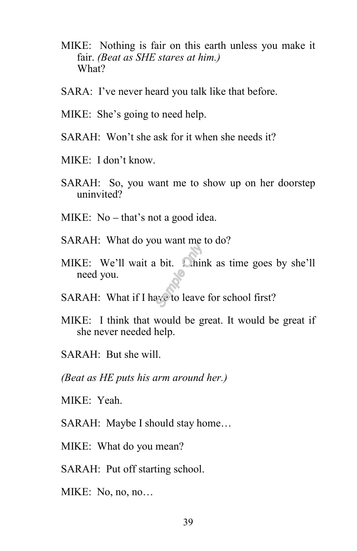- MIKE: Nothing is fair on this earth unless you make it fair. *(Beat as SHE stares at him.)* What?
- SARA: I've never heard you talk like that before.
- MIKE: She's going to need help.
- SARAH: Won't she ask for it when she needs it?
- MIKE: I don't know.
- SARAH: So, you want me to show up on her doorstep uninvited?
- MIKE: No that's not a good idea.
- SARAH: What do you want me to do?
- MIKE: We'll wait a bit. Chink as time goes by she'll need you.
- SARAH: What if I have to leave for school first?
- MIKE: I think that would be great. It would be great if she never needed help.
- SARAH: But she will.
- *(Beat as HE puts his arm around her.)*
- MIKE: Yeah.
- SARAH: Maybe I should stay home…
- MIKE: What do you mean?
- SARAH: Put off starting school.
- MIKE: No, no, no…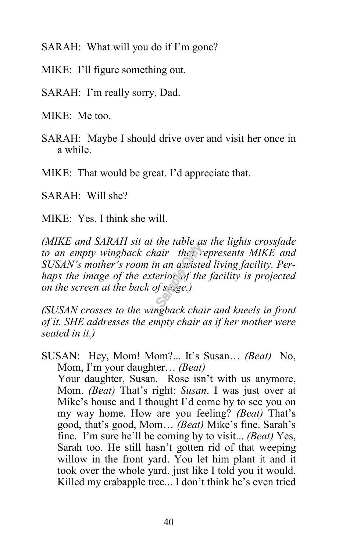SARAH: What will you do if I'm gone?

MIKE: I'll figure something out.

SARAH: I'm really sorry, Dad.

MIKE: Me too.

SARAH: Maybe I should drive over and visit her once in a while.

MIKE: That would be great. I'd appreciate that.

SARAH: Will she?

MIKE: Yes. I think she will.

*(MIKE and SARAH sit at the table as the lights crossfade*  to an empty wingback chair that represents MIKE and *SUSAN's mother's room in an assisted living facility. Perhaps the image of the exterior of the facility is projected on the screen at the back of stage.)*

*(SUSAN crosses to the wingback chair and kneels in front of it. SHE addresses the empty chair as if her mother were seated in it.)*

SUSAN: Hey, Mom! Mom?... It's Susan… *(Beat)* No, Mom, I'm your daughter… *(Beat)* Your daughter, Susan. Rose isn't with us anymore, Mom. *(Beat)* That's right: *Susan*. I was just over at Mike's house and I thought I'd come by to see you on my way home. How are you feeling? *(Beat)* That's good, that's good, Mom… *(Beat)* Mike's fine. Sarah's fine. I'm sure he'll be coming by to visit... *(Beat)* Yes, Sarah too. He still hasn't gotten rid of that weeping willow in the front yard. You let him plant it and it took over the whole yard, just like I told you it would. Killed my crabapple tree... I don't think he's even tried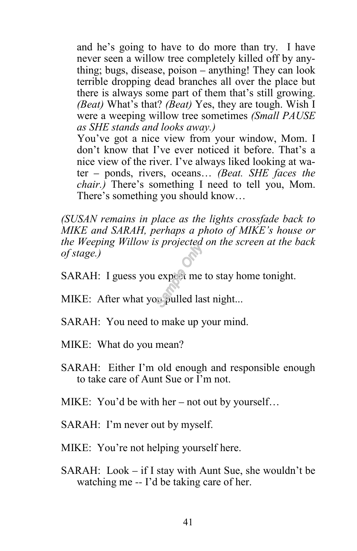and he's going to have to do more than try. I have never seen a willow tree completely killed off by anything; bugs, disease, poison – anything! They can look terrible dropping dead branches all over the place but there is always some part of them that's still growing. *(Beat)* What's that? *(Beat)* Yes, they are tough. Wish I were a weeping willow tree sometimes *(Small PAUSE as SHE stands and looks away.)*

You've got a nice view from your window, Mom. I don't know that I've ever noticed it before. That's a nice view of the river. I've always liked looking at water – ponds, rivers, oceans… *(Beat. SHE faces the chair.)* There's something I need to tell you, Mom. There's something you should know…

*(SUSAN remains in place as the lights crossfade back to MIKE and SARAH, perhaps a photo of MIKE's house or the Weeping Willow is projected on the screen at the back of stage.)*

SARAH: I guess you expect me to stay home tonight.

MIKE: After what you pulled last night...

- SARAH: You need to make up your mind.
- MIKE: What do you mean?
- SARAH: Either I'm old enough and responsible enough to take care of Aunt Sue or I'm not.

MIKE: You'd be with her – not out by yourself…

- SARAH: I'm never out by myself.
- MIKE: You're not helping yourself here.
- SARAH: Look if I stay with Aunt Sue, she wouldn't be watching me -- I'd be taking care of her.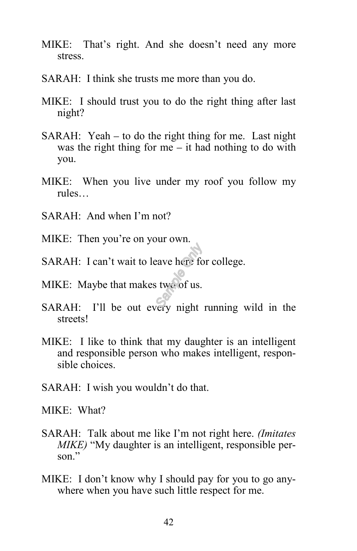- MIKE: That's right. And she doesn't need any more stress.
- SARAH: I think she trusts me more than you do.
- MIKE: I should trust you to do the right thing after last night?
- SARAH: Yeah to do the right thing for me. Last night was the right thing for me – it had nothing to do with you.
- MIKE: When you live under my roof you follow my rules…
- SARAH: And when I'm not?
- MIKE: Then you're on your own.
- SARAH: I can't wait to leave here for college.
- MIKE: Maybe that makes two of us.
- SARAH: I'll be out every night running wild in the streets!
- MIKE: I like to think that my daughter is an intelligent and responsible person who makes intelligent, responsible choices.
- SARAH: I wish you wouldn't do that.

MIKE: What?

- SARAH: Talk about me like I'm not right here. *(Imitates MIKE*) "My daughter is an intelligent, responsible person."
- MIKE: I don't know why I should pay for you to go anywhere when you have such little respect for me.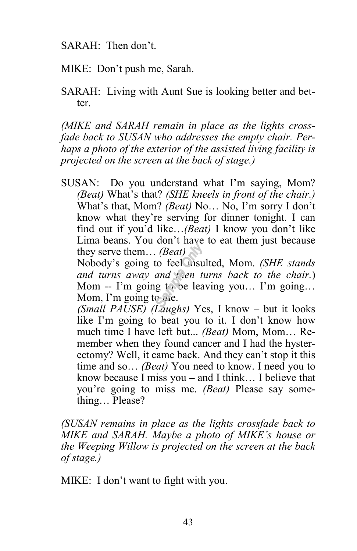SARAH: Then don't.

MIKE: Don't push me, Sarah.

SARAH: Living with Aunt Sue is looking better and better.

*(MIKE and SARAH remain in place as the lights crossfade back to SUSAN who addresses the empty chair. Perhaps a photo of the exterior of the assisted living facility is projected on the screen at the back of stage.)*

SUSAN: Do you understand what I'm saying, Mom? *(Beat)* What's that? *(SHE kneels in front of the chair.)* What's that, Mom? *(Beat)* No… No, I'm sorry I don't know what they're serving for dinner tonight. I can find out if you'd like…*(Beat)* I know you don't like Lima beans. You don't have to eat them just because they serve them… *(Beat)*

Nobody's going to feel insulted, Mom. *(SHE stands and turns away and then turns back to the chair.*) Mom -- I'm going to be leaving you… I'm going… Mom, I'm going to the.

*(Small PAUSE) (Laughs)* Yes, I know – but it looks like I'm going to beat you to it. I don't know how much time I have left but... *(Beat)* Mom, Mom… Remember when they found cancer and I had the hysterectomy? Well, it came back. And they can't stop it this time and so… *(Beat)* You need to know. I need you to know because I miss you – and I think… I believe that you're going to miss me. *(Beat)* Please say something… Please?

*(SUSAN remains in place as the lights crossfade back to MIKE and SARAH. Maybe a photo of MIKE's house or the Weeping Willow is projected on the screen at the back of stage.)*

MIKE: I don't want to fight with you.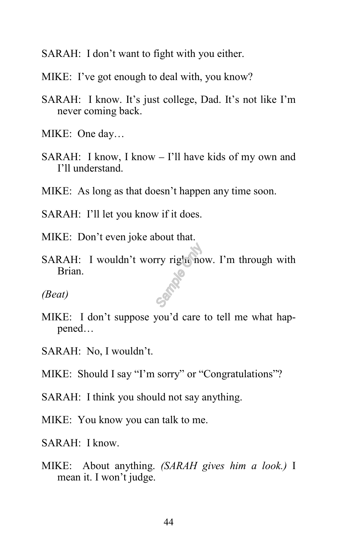- SARAH: I don't want to fight with you either.
- MIKE: I've got enough to deal with, you know?
- SARAH: I know. It's just college, Dad. It's not like I'm never coming back.
- MIKE: One day…
- SARAH: I know, I know I'll have kids of my own and I'll understand.
- MIKE: As long as that doesn't happen any time soon.
- SARAH: I'll let you know if it does.
- MIKE: Don't even joke about that.
- SARAH: I wouldn't worry right now. I'm through with Brian.
- *(Beat)*
- MIKE: I don't suppose you'd care to tell me what happened…
- SARAH: No, I wouldn't.
- MIKE: Should I say "I'm sorry" or "Congratulations"?
- SARAH: I think you should not say anything.
- MIKE: You know you can talk to me.
- SARAH: I know.
- MIKE: About anything. *(SARAH gives him a look.)* I mean it. I won't judge.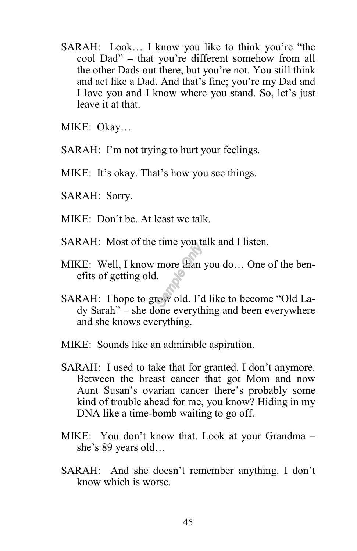SARAH: Look… I know you like to think you're "the cool Dad" – that you're different somehow from all the other Dads out there, but you're not. You still think and act like a Dad. And that's fine; you're my Dad and I love you and I know where you stand. So, let's just leave it at that.

MIKE: Okay…

SARAH: I'm not trying to hurt your feelings.

MIKE: It's okay. That's how you see things.

- SARAH: Sorry.
- $MIKE: Don't be. At least we talk.$
- SARAH: Most of the time you talk and I listen.
- MIKE: Well, I know more than you do… One of the benefits of getting old.
- SARAH: I hope to grow old. I'd like to become "Old Lady Sarah" – she done everything and been everywhere and she knows everything.
- MIKE: Sounds like an admirable aspiration.
- SARAH: I used to take that for granted. I don't anymore. Between the breast cancer that got Mom and now Aunt Susan's ovarian cancer there's probably some kind of trouble ahead for me, you know? Hiding in my DNA like a time-bomb waiting to go off.
- MIKE: You don't know that. Look at your Grandma she's 89 years old…
- SARAH: And she doesn't remember anything. I don't know which is worse.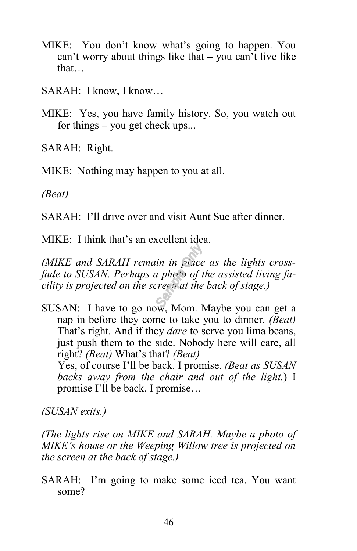- MIKE: You don't know what's going to happen. You can't worry about things like that – you can't live like that…
- SARAH: I know, I know…
- MIKE: Yes, you have family history. So, you watch out for things – you get check ups...

SARAH: Right.

MIKE: Nothing may happen to you at all.

*(Beat)* ľ

SARAH: I'll drive over and visit Aunt Sue after dinner.

MIKE: I think that's an excellent idea.

*(MIKE and SARAH remain in place as the lights crossfade to SUSAN. Perhaps a photo of the assisted living facility is projected on the screen at the back of stage.)*

SUSAN: I have to go now, Mom. Maybe you can get a nap in before they come to take you to dinner. *(Beat)* That's right. And if they *dare* to serve you lima beans, just push them to the side. Nobody here will care, all right? *(Beat)* What's that? *(Beat)*

Yes, of course I'll be back. I promise. *(Beat as SUSAN backs away from the chair and out of the light.*) I promise I'll be back. I promise…

*(SUSAN exits.)*

*(The lights rise on MIKE and SARAH. Maybe a photo of MIKE's house or the Weeping Willow tree is projected on the screen at the back of stage.)*

SARAH: I'm going to make some iced tea. You want some?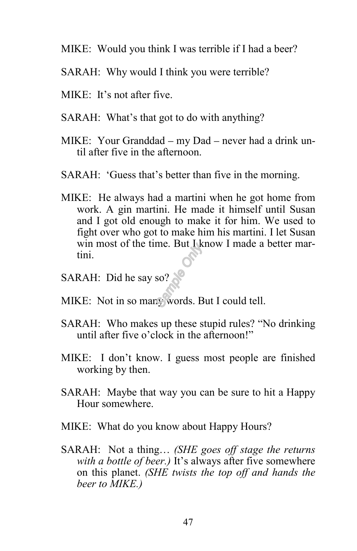- MIKE: Would you think I was terrible if I had a beer?
- SARAH: Why would I think you were terrible?
- MIKE: It's not after five.
- SARAH: What's that got to do with anything?
- MIKE: Your Granddad my Dad never had a drink until after five in the afternoon.
- SARAH: 'Guess that's better than five in the morning.
- MIKE: He always had a martini when he got home from work. A gin martini. He made it himself until Susan and I got old enough to make it for him. We used to fight over who got to make him his martini. I let Susan win most of the time. But I know I made a better martini.
- SARAH: Did he say so?
- MIKE: Not in so many words. But I could tell.
- SARAH: Who makes up these stupid rules? "No drinking until after five o'clock in the afternoon!"
- MIKE: I don't know. I guess most people are finished working by then.
- SARAH: Maybe that way you can be sure to hit a Happy Hour somewhere.
- MIKE: What do you know about Happy Hours?
- SARAH: Not a thing… *(SHE goes off stage the returns with a bottle of beer.)* It's always after five somewhere on this planet. *(SHE twists the top off and hands the beer to MIKE.)*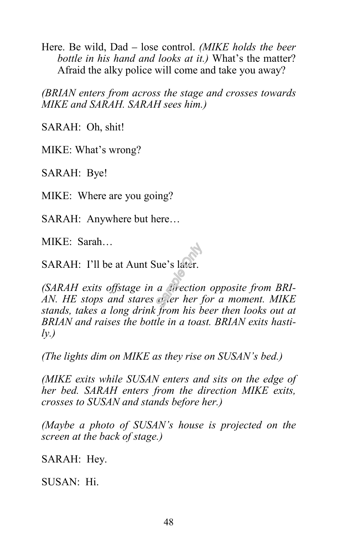Here. Be wild, Dad – lose control. *(MIKE holds the beer bottle in his hand and looks at it.)* What's the matter? Afraid the alky police will come and take you away?

*(BRIAN enters from across the stage and crosses towards MIKE and SARAH. SARAH sees him.)*

SARAH: Oh, shit!

MIKE: What's wrong?

SARAH: Bye!

MIKE: Where are you going?

SARAH: Anywhere but here…

MIKE: Sarah…

SARAH: I'll be at Aunt Sue's later.

*(SARAH exits offstage in a direction opposite from BRI-AN. HE stops and stares after her for a moment. MIKE stands, takes a long drink from his beer then looks out at BRIAN and raises the bottle in a toast. BRIAN exits hastily.)*

*(The lights dim on MIKE as they rise on SUSAN's bed.)*

*(MIKE exits while SUSAN enters and sits on the edge of her bed. SARAH enters from the direction MIKE exits, crosses to SUSAN and stands before her.)*

*(Maybe a photo of SUSAN's house is projected on the screen at the back of stage.)*

SARAH: Hey.

SUSAN: Hi.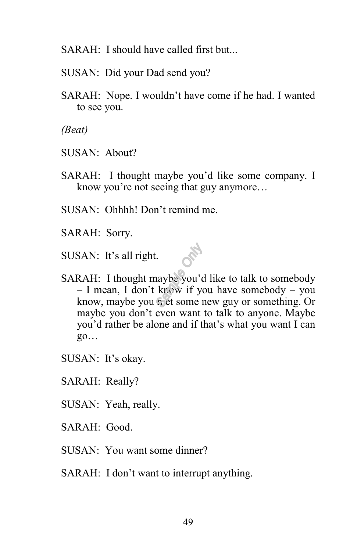SARAH: I should have called first but...

- SUSAN: Did your Dad send you?
- SARAH: Nope. I wouldn't have come if he had. I wanted to see you.

*(Beat)*

- SUSAN: About?
- SARAH: I thought maybe you'd like some company. I know you're not seeing that guy anymore…
- SUSAN: Ohhhh! Don't remind me.
- SARAH: Sorry.

SUSAN: It's all right.

- SARAH: I thought maybe you'd like to talk to somebody  $-$  I mean, I don't know if you have somebody  $-$  you know, maybe you met some new guy or something. Or maybe you don't even want to talk to anyone. Maybe you'd rather be alone and if that's what you want I can go…
- SUSAN: It's okay.
- SARAH: Really?
- SUSAN: Yeah, really.
- SARAH: Good.
- SUSAN: You want some dinner?
- SARAH: I don't want to interrupt anything.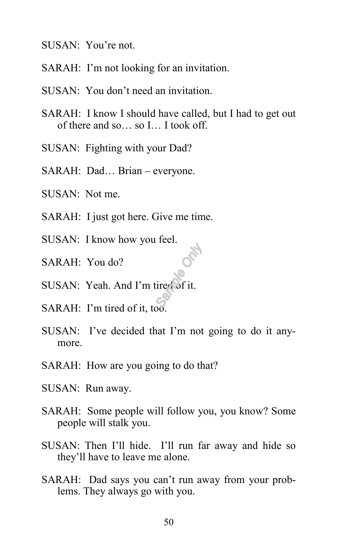- SUSAN: You're not.
- SARAH: I'm not looking for an invitation.
- SUSAN: You don't need an invitation.
- SARAH: I know I should have called, but I had to get out of there and so… so I… I took off.
- SUSAN: Fighting with your Dad?
- SARAH: Dad… Brian everyone.
- SUSAN: Not me.
- SARAH: I just got here. Give me time.
- SUSAN: I know how you feel.
- SARAH: You do?
- SUSAN: Yeah. And I'm tired of it.
- SARAH: I'm tired of it, too.
- SUSAN: I've decided that I'm not going to do it anymore.
- SARAH: How are you going to do that?
- SUSAN: Run away.
- SARAH: Some people will follow you, you know? Some people will stalk you.
- SUSAN: Then I'll hide. I'll run far away and hide so they'll have to leave me alone.
- SARAH: Dad says you can't run away from your problems. They always go with you.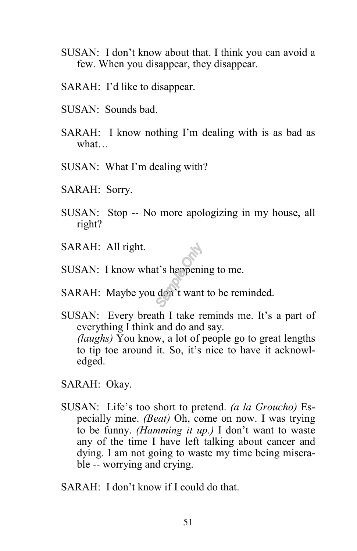- SUSAN: I don't know about that. I think you can avoid a few. When you disappear, they disappear.
- SARAH: I'd like to disappear.
- SUSAN: Sounds bad.
- SARAH: I know nothing I'm dealing with is as bad as what…
- SUSAN: What I'm dealing with?
- SARAH: Sorry.
- SUSAN: Stop -- No more apologizing in my house, all right?
- SARAH: All right.
- SUSAN: I know what's happening to me.
- SARAH: Maybe you don't want to be reminded.
- SUSAN: Every breath I take reminds me. It's a part of everything I think and do and say. *(laughs)* You know, a lot of people go to great lengths to tip toe around it. So, it's nice to have it acknowledged.
- SARAH: Okay.
- SUSAN: Life's too short to pretend. *(a la Groucho)* Especially mine. *(Beat)* Oh, come on now. I was trying to be funny. *(Hamming it up.)* I don't want to waste any of the time I have left talking about cancer and dying. I am not going to waste my time being miserable -- worrying and crying.
- SARAH: I don't know if I could do that.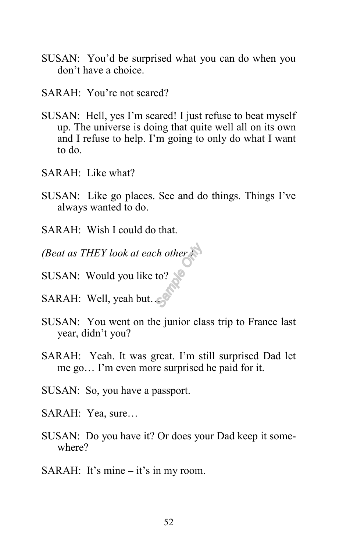- SUSAN: You'd be surprised what you can do when you don't have a choice.
- SARAH: You're not scared?
- SUSAN: Hell, yes I'm scared! I just refuse to beat myself up. The universe is doing that quite well all on its own and I refuse to help. I'm going to only do what I want to do.
- SARAH: Like what?
- SUSAN: Like go places. See and do things. Things I've always wanted to do.
- SARAH: Wish I could do that.
- *(Beat as THEY look at each other.)*
- SUSAN: Would you like to?
- SARAH: Well, yeah but…
- SUSAN: You went on the junior class trip to France last year, didn't you?
- SARAH: Yeah. It was great. I'm still surprised Dad let me go… I'm even more surprised he paid for it.
- SUSAN: So, you have a passport.
- SARAH: Yea, sure…
- SUSAN: Do you have it? Or does your Dad keep it somewhere?
- SARAH: It's mine it's in my room.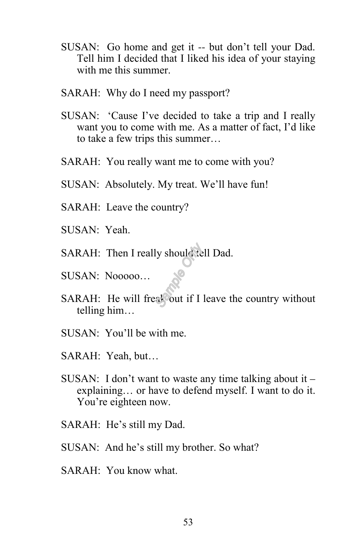- SUSAN: Go home and get it -- but don't tell your Dad. Tell him I decided that I liked his idea of your staying with me this summer.
- SARAH: Why do I need my passport?
- SUSAN: 'Cause I've decided to take a trip and I really want you to come with me. As a matter of fact, I'd like to take a few trips this summer…
- SARAH: You really want me to come with you?
- SUSAN: Absolutely. My treat. We'll have fun!
- SARAH: Leave the country?
- SUSAN: Yeah.
- SARAH: Then I really should tell Dad.
- SUSAN: Nooooo…
- SARAH: He will freak out if I leave the country without telling him…
- SUSAN: You'll be with me.
- SARAH: Yeah, but…
- SUSAN: I don't want to waste any time talking about it explaining… or have to defend myself. I want to do it. You're eighteen now.
- SARAH: He's still my Dad.
- SUSAN: And he's still my brother. So what?
- SARAH: You know what.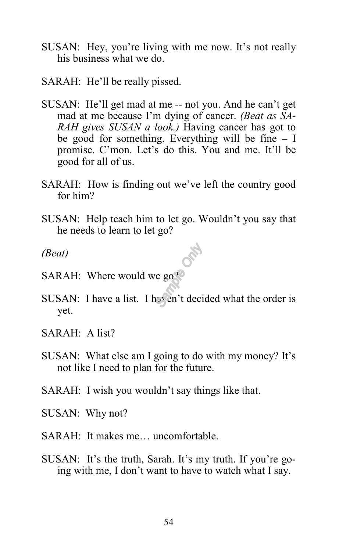- SUSAN: Hey, you're living with me now. It's not really his business what we do.
- SARAH: He'll be really pissed.
- SUSAN: He'll get mad at me -- not you. And he can't get mad at me because I'm dying of cancer. *(Beat as SA-RAH gives SUSAN a look.)* Having cancer has got to be good for something. Everything will be fine – I promise. C'mon. Let's do this. You and me. It'll be good for all of us.
- SARAH: How is finding out we've left the country good for him?
- SUSAN: Help teach him to let go. Wouldn't you say that he needs to learn to let go?

OM

*(Beat)*

- SARAH: Where would we go?
- SUSAN: I have a list. I haven't decided what the order is yet.
- SARAH: A list?
- SUSAN: What else am I going to do with my money? It's not like I need to plan for the future.
- SARAH: I wish you wouldn't say things like that.
- SUSAN: Why not?
- SARAH: It makes me… uncomfortable.
- SUSAN: It's the truth, Sarah. It's my truth. If you're going with me, I don't want to have to watch what I say.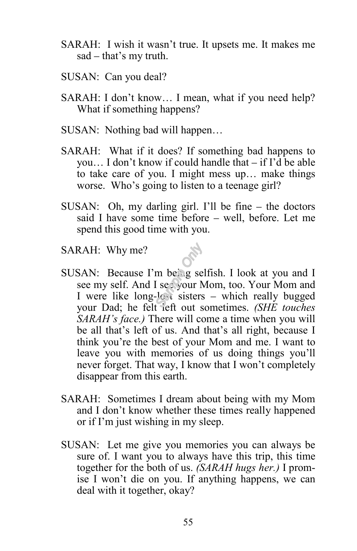- SARAH: I wish it wasn't true. It upsets me. It makes me sad – that's my truth.
- SUSAN: Can you deal?
- SARAH: I don't know… I mean, what if you need help? What if something happens?
- SUSAN: Nothing bad will happen…
- SARAH: What if it does? If something bad happens to you… I don't know if could handle that – if I'd be able to take care of you. I might mess up… make things worse. Who's going to listen to a teenage girl?
- SUSAN: Oh, my darling girl. I'll be fine the doctors said I have some time before – well, before. Let me spend this good time with you.
- SARAH: Why me?
- SUSAN: Because I'm being selfish. I look at you and I see my self. And I see your Mom, too. Your Mom and I were like long-lost sisters – which really bugged your Dad; he felt left out sometimes. *(SHE touches SARAH's face.)* There will come a time when you will be all that's left of us. And that's all right, because I think you're the best of your Mom and me. I want to leave you with memories of us doing things you'll never forget. That way, I know that I won't completely disappear from this earth.
- SARAH: Sometimes I dream about being with my Mom and I don't know whether these times really happened or if I'm just wishing in my sleep.
- SUSAN: Let me give you memories you can always be sure of. I want you to always have this trip, this time together for the both of us. *(SARAH hugs her.)* I promise I won't die on you. If anything happens, we can deal with it together, okay?